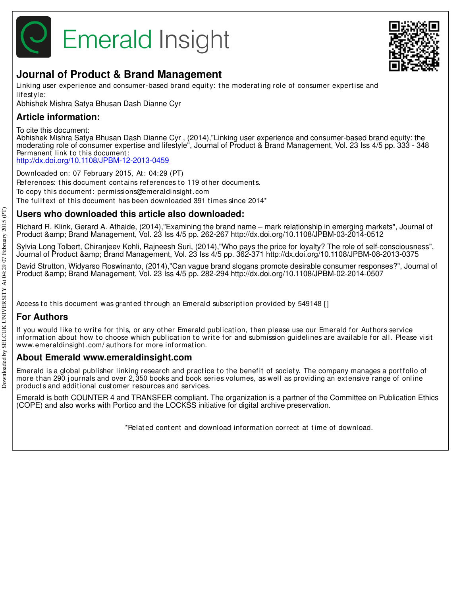



# **Journal of Product & Brand Management**

Linking user experience and consumer-based brand equity: the moderating role of consumer expertise and lifest yle:

Abhishek Mishra Satya Bhusan Dash Dianne Cyr

# **Article information:**

To cite this document:

Abhishek Mishra Satya Bhusan Dash Dianne Cyr , (2014),"Linking user experience and consumer-based brand equity: the moderating role of consumer expertise and lifestyle", Journal of Product & Brand Management, Vol. 23 Iss 4/5 pp. 333 - 348 Permanent link to this document: http://dx.doi.org/10.1108/JPBM-12-2013-0459

Downloaded on: 07 February 2015, At : 04:29 (PT) References: this document contains references to 119 other documents. To copy t his document : permissions@emeraldinsight .com The fulltext of this document has been downloaded 391 times since 2014\*

# **Users who downloaded this article also downloaded:**

Richard R. Klink, Gerard A. Athaide, (2014),"Examining the brand name – mark relationship in emerging markets", Journal of Product & Brand Management, Vol. 23 Iss 4/5 pp. 262-267 http://dx.doi.org/10.1108/JPBM-03-2014-0512

Sylvia Long Tolbert, Chiranjeev Kohli, Rajneesh Suri, (2014),"Who pays the price for loyalty? The role of self-consciousness", Journal of Product & Brand Management, Vol. 23 Iss 4/5 pp. 362-371 http://dx.doi.org/10.1108/JPBM-08-2013-0375

David Strutton, Widyarso Roswinanto, (2014),"Can vague brand slogans promote desirable consumer responses?", Journal of Product & Brand Management, Vol. 23 Iss 4/5 pp. 282-294 http://dx.doi.org/10.1108/JPBM-02-2014-0507

Access to this document was granted through an Emerald subscription provided by 549148 []

# **For Authors**

If you would like to write for this, or any other Emerald publication, then please use our Emerald for Authors service information about how to choose which publication to write for and submission guidelines are available for all. Please visit www.emeraldinsight .com/ aut hors for more informat ion.

# **About Emerald www.emeraldinsight.com**

Emerald is a global publisher linking research and practice to the benefit of society. The company manages a portfolio of more than 290 journals and over 2,350 books and book series volumes, as well as providing an extensive range of online product s and addit ional cust omer resources and services.

Emerald is both COUNTER 4 and TRANSFER compliant. The organization is a partner of the Committee on Publication Ethics (COPE) and also works with Portico and the LOCKSS initiative for digital archive preservation.

\*Relat ed cont ent and download informat ion correct at t ime of download.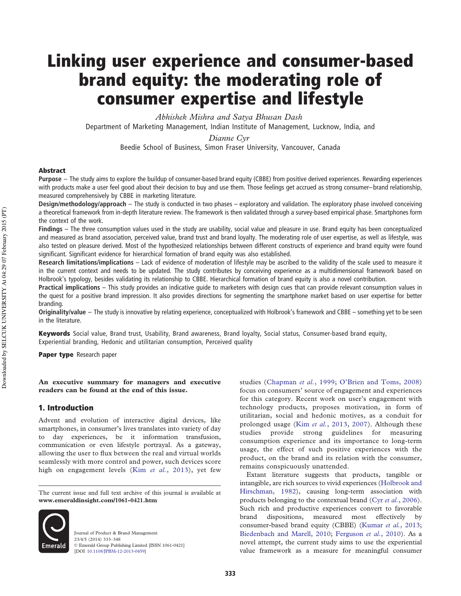# Linking user experience and consumer-based brand equity: the moderating role of consumer expertise and lifestyle

*Abhishek Mishra and Satya Bhusan Dash* Department of Marketing Management, Indian Institute of Management, Lucknow, India, and

*Dianne Cyr*

Beedie School of Business, Simon Fraser University, Vancouver, Canada

## Abstract

**Purpose** – The study aims to explore the buildup of consumer-based brand equity (CBBE) from positive derived experiences. Rewarding experiences with products make a user feel good about their decision to buy and use them. Those feelings get accrued as strong consumer–brand relationship, measured comprehensively by CBBE in marketing literature.

**Design/methodology/approach** – The study is conducted in two phases – exploratory and validation. The exploratory phase involved conceiving a theoretical framework from in-depth literature review. The framework is then validated through a survey-based empirical phase. Smartphones form the context of the work.

**Findings** – The three consumption values used in the study are usability, social value and pleasure in use. Brand equity has been conceptualized and measured as brand association, perceived value, brand trust and brand loyalty. The moderating role of user expertise, as well as lifestyle, was also tested on pleasure derived. Most of the hypothesized relationships between different constructs of experience and brand equity were found significant. Significant evidence for hierarchical formation of brand equity was also established.

**Research limitations/implications** – Lack of evidence of moderation of lifestyle may be ascribed to the validity of the scale used to measure it in the current context and needs to be updated. The study contributes by conceiving experience as a multidimensional framework based on Holbrook's typology, besides validating its relationship to CBBE. Hierarchical formation of brand equity is also a novel contribution.

**Practical implications** – This study provides an indicative guide to marketers with design cues that can provide relevant consumption values in the quest for a positive brand impression. It also provides directions for segmenting the smartphone market based on user expertise for better branding.

**Originality/value** – The study is innovative by relating experience, conceptualized with Holbrook's framework and CBBE – something yet to be seen in the literature.

Keywords Social value, Brand trust, Usability, Brand awareness, Brand loyalty, Social status, Consumer-based brand equity, Experiential branding, Hedonic and utilitarian consumption, Perceived quality

Paper type Research paper

**An executive summary for managers and executive readers can be found at the end of this issue.**

# 1. Introduction

Advent and evolution of interactive digital devices, like smartphones, in consumer's lives translates into variety of day to day experiences, be it information transfusion, communication or even lifestyle portrayal. As a gateway, allowing the user to flux between the real and virtual worlds seamlessly with more control and power, such devices score high on engagement levels (Kim *et al.*, 2013), yet few

The current issue and full text archive of this journal is available at **www.emeraldinsight.com/1061-0421.htm**



Journal of Product & Brand Management 23/4/5 (2014) 333–348 © Emerald Group Publishing Limited [ISSN 1061-0421] [DOI 10.1108/JPBM-12-2013-0459]

studies (Chapman *et al.*, 1999; O'Brien and Toms, 2008) focus on consumers' source of engagement and experiences for this category. Recent work on user's engagement with technology products, proposes motivation, in form of utilitarian, social and hedonic motives, as a conduit for prolonged usage (Kim *et al.*, 2013, 2007). Although these studies provide strong guidelines for measuring consumption experience and its importance to long-term usage, the effect of such positive experiences with the product, on the brand and its relation with the consumer, remains conspicuously unattended.

Extant literature suggests that products, tangible or intangible, are rich sources to vivid experiences (Holbrook and Hirschman, 1982), causing long-term association with products belonging to the contextual brand (Cyr *et al.*, 2006). Such rich and productive experiences convert to favorable brand dispositions, measured most effectively by consumer-based brand equity (CBBE) (Kumar *et al.*, 2013; Biedenbach and Marell, 2010; Ferguson *et al.*, 2010). As a novel attempt, the current study aims to use the experiential value framework as a measure for meaningful consumer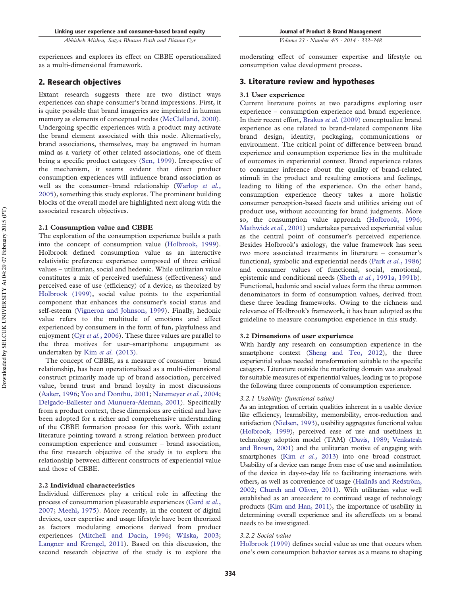experiences and explores its effect on CBBE operationalized as a multi-dimensional framework.

# 2. Research objectives

Extant research suggests there are two distinct ways experiences can shape consumer's brand impressions. First, it is quite possible that brand imageries are imprinted in human memory as elements of conceptual nodes (McClelland, 2000). Undergoing specific experiences with a product may activate the brand element associated with this node. Alternatively, brand associations, themselves, may be engraved in human mind as a variety of other related associations, one of them being a specific product category (Sen, 1999). Irrespective of the mechanism, it seems evident that direct product consumption experiences will influence brand association as well as the consumer– brand relationship (Warlop *et al.*, 2005), something this study explores. The prominent building blocks of the overall model are highlighted next along with the associated research objectives.

#### **2.1 Consumption value and CBBE**

The exploration of the consumption experience builds a path into the concept of consumption value (Holbrook, 1999). Holbrook defined consumption value as an interactive relativistic preference experience composed of three critical values – utilitarian, social and hedonic. While utilitarian value constitutes a mix of perceived usefulness (effectiveness) and perceived ease of use (efficiency) of a device, as theorized by Holbrook (1999), social value points to the experiential component that enhances the consumer's social status and self-esteem (Vigneron and Johnson, 1999). Finally, hedonic value refers to the multitude of emotions and affect experienced by consumers in the form of fun, playfulness and enjoyment (Cyr *et al.*, 2006). These three values are parallel to the three motives for user–smartphone engagement as undertaken by Kim *et al.* (2013).

The concept of CBBE, as a measure of consumer – brand relationship, has been operationalized as a multi-dimensional construct primarily made up of brand association, perceived value, brand trust and brand loyalty in most discussions (Aaker, 1996; Yoo and Donthu, 2001; Netemeyer *et al.*, 2004; Delgado-Ballester and Munuera-Aleman, 2001). Specifically from a product context, these dimensions are critical and have been adopted for a richer and comprehensive understanding of the CBBE formation process for this work. With extant literature pointing toward a strong relation between product consumption experience and consumer – brand association, the first research objective of the study is to explore the relationship between different constructs of experiential value and those of CBBE.

# **2.2 Individual characteristics**

Individual differences play a critical role in affecting the process of consummation pleasurable experiences (Gard *et al.*, 2007; Meehl, 1975). More recently, in the context of digital devices, user expertise and usage lifestyle have been theorized as factors modulating emotions derived from product experiences (Mitchell and Dacin, 1996; Wilska, 2003; Langner and Krengel, 2011). Based on this discussion, the second research objective of the study is to explore the moderating effect of consumer expertise and lifestyle on consumption value development process.

# 3. Literature review and hypotheses

#### **3.1 User experience**

Current literature points at two paradigms exploring user experience – consumption experience and brand experience. In their recent effort, Brakus *et al.* (2009) conceptualize brand experience as one related to brand-related components like brand design, identity, packaging, communications or environment. The critical point of difference between brand experience and consumption experience lies in the multitude of outcomes in experiential context. Brand experience relates to consumer inference about the quality of brand-related stimuli in the product and resulting emotions and feelings, leading to liking of the experience. On the other hand, consumption experience theory takes a more holistic consumer perception-based facets and utilities arising out of product use, without accounting for brand judgments. More so, the consumption value approach (Holbrook, 1996; Mathwick *et al.*, 2001) undertakes perceived experiential value as the central point of consumer's perceived experience. Besides Holbrook's axiology, the value framework has seen two more associated treatments in literature – consumer's functional, symbolic and experiential needs (Park *et al.*, 1986) and consumer values of functional, social, emotional, epistemic and conditional needs (Sheth *et al.*, 1991a, 1991b). Functional, hedonic and social values form the three common denominators in form of consumption values, derived from these three leading frameworks. Owing to the richness and relevance of Holbrook's framework, it has been adopted as the guideline to measure consumption experience in this study.

## **3.2 Dimensions of user experience**

With hardly any research on consumption experience in the smartphone context (Sheng and Teo, 2012), the three experiential values needed transformation suitable to the specific category. Literature outside the marketing domain was analyzed for suitable measures of experiential values, leading us to propose the following three components of consumption experience.

#### *3.2.1 Usability (functional value)*

As an integration of certain qualities inherent in a usable device like efficiency, learnability, memorability, error-reduction and satisfaction (Nielsen, 1993), usability aggregates functional value (Holbrook, 1999), perceived ease of use and usefulness in technology adoption model (TAM) (Davis, 1989; Venkatesh and Brown, 2001) and the utilitarian motive of engaging with smartphones (Kim *et al.*, 2013) into one broad construct. Usability of a device can range from ease of use and assimilation of the device in day-to-day life to facilitating interactions with others, as well as convenience of usage (Hallnäs and Redström, 2002; Church and Oliver, 2011). With utilitarian value well established as an antecedent to continued usage of technology products (Kim and Han, 2011), the importance of usability in determining overall experience and its aftereffects on a brand needs to be investigated.

# *3.2.2 Social value*

Holbrook (1999) defines social value as one that occurs when one's own consumption behavior serves as a means to shaping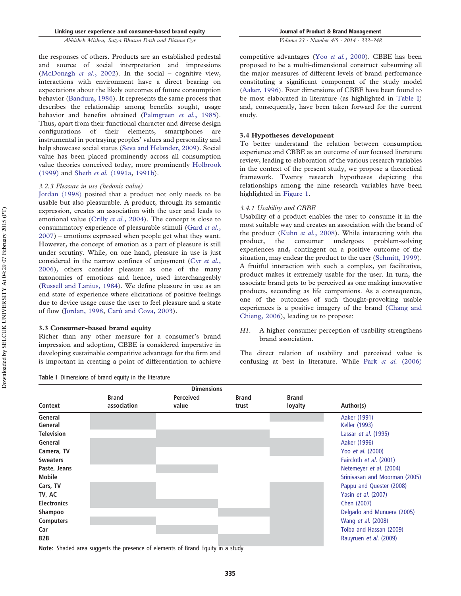*Volume 23 · Number 4/5 · 2014 · 333–348*

the responses of others. Products are an established pedestal and source of social interpretation and impressions (McDonagh *et al.*, 2002). In the social – cognitive view, interactions with environment have a direct bearing on expectations about the likely outcomes of future consumption behavior (Bandura, 1986). It represents the same process that describes the relationship among benefits sought, usage behavior and benefits obtained (Palmgreen *et al.*, 1985). Thus, apart from their functional character and diverse design<br>configurations of their elements, smartphones are configurations of their elements, smartphones are instrumental in portraying peoples' values and personality and help showcase social status (Seva and Helander, 2009). Social value has been placed prominently across all consumption value theories conceived today, more prominently Holbrook (1999) and Sheth *et al.* (1991a, 1991b).

# *3.2.3 Pleasure in use (hedonic value)*

Jordan (1998) posited that a product not only needs to be usable but also pleasurable. A product, through its semantic expression, creates an association with the user and leads to emotional value (Crilly *et al.*, 2004). The concept is close to consummatory experience of pleasurable stimuli (Gard *et al.*, 2007) – emotions expressed when people get what they want. However, the concept of emotion as a part of pleasure is still under scrutiny. While, on one hand, pleasure in use is just considered in the narrow confines of enjoyment (Cyr *et al.*, 2006), others consider pleasure as one of the many taxonomies of emotions and hence, used interchangeably (Russell and Lanius, 1984). We define pleasure in use as an end state of experience where elicitations of positive feelings due to device usage cause the user to feel pleasure and a state of flow (Jordan, 1998, Carù and Cova, 2003).

# **3.3 Consumer-based brand equity**

Richer than any other measure for a consumer's brand impression and adoption, CBBE is considered imperative in developing sustainable competitive advantage for the firm and is important in creating a point of differentiation to achieve

**Table I** Dimensions of brand equity in the literature

competitive advantages (Yoo *et al.*, 2000). CBBE has been proposed to be a multi-dimensional construct subsuming all the major measures of different levels of brand performance constituting a significant component of the study model (Aaker, 1996). Four dimensions of CBBE have been found to be most elaborated in literature (as highlighted in Table I) and, consequently, have been taken forward for the current study.

# **3.4 Hypotheses development**

To better understand the relation between consumption experience and CBBE as an outcome of our focused literature review, leading to elaboration of the various research variables in the context of the present study, we propose a theoretical framework. Twenty research hypotheses depicting the relationships among the nine research variables have been highlighted in Figure 1.

# *3.4.1 Usability and CBBE*

Usability of a product enables the user to consume it in the most suitable way and creates an association with the brand of the product (Kuhn *et al.*, 2008). While interacting with the product, the consumer undergoes problem-solving experiences and, contingent on a positive outcome of the situation, may endear the product to the user (Schmitt, 1999). A fruitful interaction with such a complex, yet facilitative, product makes it extremely usable for the user. In turn, the associate brand gets to be perceived as one making innovative products, seconding as life companions. As a consequence, one of the outcomes of such thought-provoking usable experiences is a positive imagery of the brand (Chang and Chieng, 2006), leading us to propose:

*H1*. A higher consumer perception of usability strengthens brand association.

The direct relation of usability and perceived value is confusing at best in literature. While Park *et al.* (2006)

|                                 | <b>Dimensions</b>                                                              |                           |                       |                         |                                                           |  |  |  |  |
|---------------------------------|--------------------------------------------------------------------------------|---------------------------|-----------------------|-------------------------|-----------------------------------------------------------|--|--|--|--|
| Context                         | <b>Brand</b><br>association                                                    | <b>Perceived</b><br>value | <b>Brand</b><br>trust | <b>Brand</b><br>loyalty | Author(s)                                                 |  |  |  |  |
| General<br>General              |                                                                                |                           |                       |                         | Aaker (1991)<br>Keller (1993)                             |  |  |  |  |
| <b>Television</b><br>General    |                                                                                |                           |                       |                         | Lassar <i>et al.</i> (1995)<br>Aaker (1996)               |  |  |  |  |
| Camera, TV                      |                                                                                |                           |                       |                         | Yoo et al. (2000)                                         |  |  |  |  |
| <b>Sweaters</b><br>Paste, Jeans |                                                                                |                           |                       |                         | Faircloth et al. (2001)<br>Netemeyer et al. (2004)        |  |  |  |  |
| Mobile<br>Cars, TV              |                                                                                |                           |                       |                         | Srinivasan and Moorman (2005)<br>Pappu and Quester (2008) |  |  |  |  |
| TV, AC<br><b>Electronics</b>    |                                                                                |                           |                       |                         | Yasin et al. (2007)<br>Chen (2007)                        |  |  |  |  |
| <b>Shampoo</b>                  |                                                                                |                           |                       |                         | Delgado and Munuera (2005)                                |  |  |  |  |
| <b>Computers</b><br>Car         |                                                                                |                           |                       |                         | Wang <i>et al.</i> (2008)<br>Tolba and Hassan (2009)      |  |  |  |  |
| B2B                             |                                                                                |                           |                       |                         | Rauyruen <i>et al.</i> (2009)                             |  |  |  |  |
|                                 | Note: Shaded area suggests the presence of elements of Brand Equity in a study |                           |                       |                         |                                                           |  |  |  |  |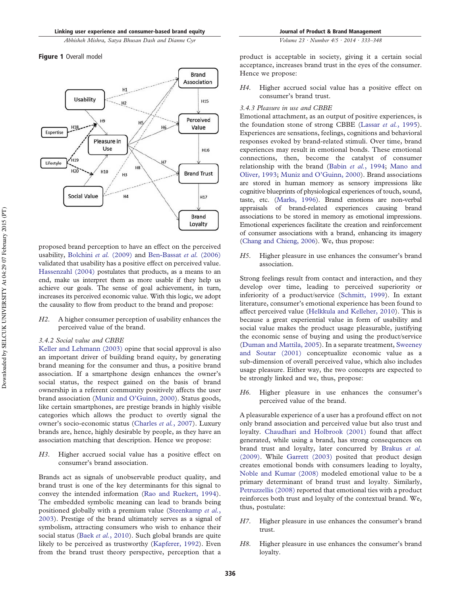# Figure 1 Overall model



proposed brand perception to have an effect on the perceived usability, Bolchini *et al.* (2009) and Ben-Bassat *et al.* (2006) validated that usability has a positive effect on perceived value. Hassenzahl (2004) postulates that products, as a means to an end, make us interpret them as more usable if they help us achieve our goals. The sense of goal achievement, in turn, increases its perceived economic value. With this logic, we adopt the causality to flow from product to the brand and propose:

*H2*. A higher consumer perception of usability enhances the perceived value of the brand.

# *3.4.2 Social value and CBBE*

Keller and Lehmann (2003) opine that social approval is also an important driver of building brand equity, by generating brand meaning for the consumer and thus, a positive brand association. If a smartphone design enhances the owner's social status, the respect gained on the basis of brand ownership in a referent community positively affects the user brand association (Muniz and O'Guinn, 2000). Status goods, like certain smartphones, are prestige brands in highly visible categories which allows the product to overtly signal the owner's socio-economic status (Charles *et al.*, 2007). Luxury brands are, hence, highly desirable by people, as they have an association matching that description. Hence we propose:

*H3*. Higher accrued social value has a positive effect on consumer's brand association.

Brands act as signals of unobservable product quality, and brand trust is one of the key determinants for this signal to convey the intended information (Rao and Ruekert, 1994). The embedded symbolic meaning can lead to brands being positioned globally with a premium value (Steenkamp *et al.*, 2003). Prestige of the brand ultimately serves as a signal of symbolism, attracting consumers who wish to enhance their social status (Baek *et al.*, 2010). Such global brands are quite likely to be perceived as trustworthy (Kapferer, 1992). Even from the brand trust theory perspective, perception that a

product is acceptable in society, giving it a certain social acceptance, increases brand trust in the eyes of the consumer. Hence we propose:

*H4*. Higher accrued social value has a positive effect on consumer's brand trust.

#### *3.4.3 Pleasure in use and CBBE*

Emotional attachment, as an output of positive experiences, is the foundation stone of strong CBBE (Lassar *et al.*, 1995). Experiences are sensations, feelings, cognitions and behavioral responses evoked by brand-related stimuli. Over time, brand experiences may result in emotional bonds. These emotional connections, then, become the catalyst of consumer relationship with the brand (Babin *et al.*, 1994; Mano and Oliver, 1993; Muniz and O'Guinn, 2000). Brand associations are stored in human memory as sensory impressions like cognitive blueprints of physiological experiences of touch, sound, taste, etc. (Marks, 1996). Brand emotions are non-verbal appraisals of brand-related experiences causing brand associations to be stored in memory as emotional impressions. Emotional experiences facilitate the creation and reinforcement of consumer associations with a brand, enhancing its imagery (Chang and Chieng, 2006). We, thus propose:

*H5*. Higher pleasure in use enhances the consumer's brand association.

Strong feelings result from contact and interaction, and they develop over time, leading to perceived superiority or inferiority of a product/service (Schmitt, 1999). In extant literature, consumer's emotional experience has been found to affect perceived value (Helkkula and Kelleher, 2010). This is because a great experiential value in form of usability and social value makes the product usage pleasurable, justifying the economic sense of buying and using the product/service (Duman and Mattila, 2005). In a separate treatment, Sweeney and Soutar (2001) conceptualize economic value as a sub-dimension of overall perceived value, which also includes usage pleasure. Either way, the two concepts are expected to be strongly linked and we, thus, propose:

*H6*. Higher pleasure in use enhances the consumer's perceived value of the brand.

A pleasurable experience of a user has a profound effect on not only brand association and perceived value but also trust and loyalty. Chaudhari and Holbrook (2001) found that affect generated, while using a brand, has strong consequences on brand trust and loyalty, later concurred by Brakus *et al.* (2009). While Garrett (2003) posited that product design creates emotional bonds with consumers leading to loyalty, Noble and Kumar (2008) modeled emotional value to be a primary determinant of brand trust and loyalty. Similarly, Petruzzellis (2008) reported that emotional ties with a product reinforces both trust and loyalty of the contextual brand. We, thus, postulate:

- *H7*. Higher pleasure in use enhances the consumer's brand trust.
- *H8*. Higher pleasure in use enhances the consumer's brand loyalty.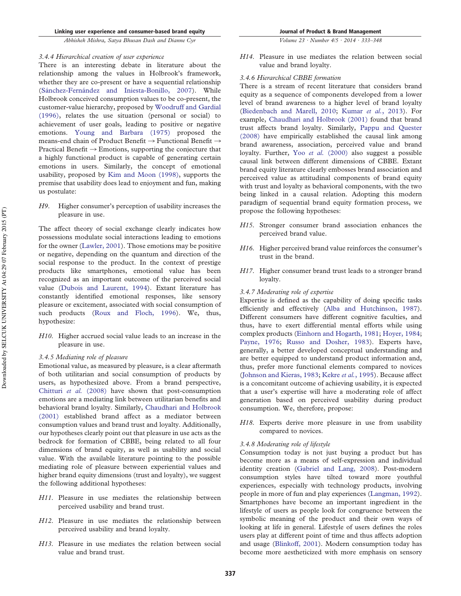*Volume 23 · Number 4/5 · 2014 · 333–348*

#### *3.4.4 Hierarchical creation of user experience*

There is an interesting debate in literature about the relationship among the values in Holbrook's framework, whether they are co-present or have a sequential relationship (Sánchez-Fernández and Iniesta-Bonillo, 2007). While Holbrook conceived consumption values to be co-present, the customer-value hierarchy, proposed by Woodruff and Gardial (1996), relates the use situation (personal or social) to achievement of user goals, leading to positive or negative emotions. Young and Barbara (1975) proposed the means-end chain of Product Benefit  $\rightarrow$  Functional Benefit  $\rightarrow$ Practical Benefit  $\rightarrow$  Emotions, supporting the conjecture that a highly functional product is capable of generating certain emotions in users. Similarly, the concept of emotional usability, proposed by Kim and Moon (1998), supports the premise that usability does lead to enjoyment and fun, making us postulate:

*H9*. Higher consumer's perception of usability increases the pleasure in use.

The affect theory of social exchange clearly indicates how possessions modulate social interactions leading to emotions for the owner (Lawler, 2001). Those emotions may be positive or negative, depending on the quantum and direction of the social response to the product. In the context of prestige products like smartphones, emotional value has been recognized as an important outcome of the perceived social value (Dubois and Laurent, 1994). Extant literature has constantly identified emotional responses, like sensory pleasure or excitement, associated with social consumption of such products (Roux and Floch, 1996). We, thus, hypothesize:

*H10*. Higher accrued social value leads to an increase in the pleasure in use.

#### *3.4.5 Mediating role of pleasure*

Emotional value, as measured by pleasure, is a clear aftermath of both utilitarian and social consumption of products by users, as hypothesized above. From a brand perspective, Chitturi *et al.* (2008) have shown that post-consumption emotions are a mediating link between utilitarian benefits and behavioral brand loyalty. Similarly, Chaudhari and Holbrook (2001) established brand affect as a mediator between consumption values and brand trust and loyalty. Additionally, our hypotheses clearly point out that pleasure in use acts as the bedrock for formation of CBBE, being related to all four dimensions of brand equity, as well as usability and social value. With the available literature pointing to the possible mediating role of pleasure between experiential values and higher brand equity dimensions (trust and loyalty), we suggest the following additional hypotheses:

- *H11*. Pleasure in use mediates the relationship between perceived usability and brand trust.
- *H12*. Pleasure in use mediates the relationship between perceived usability and brand loyalty.
- *H13*. Pleasure in use mediates the relation between social value and brand trust.

*H14*. Pleasure in use mediates the relation between social value and brand loyalty.

#### *3.4.6 Hierarchical CBBE formation*

There is a stream of recent literature that considers brand equity as a sequence of components developed from a lower level of brand awareness to a higher level of brand loyalty (Biedenbach and Marell, 2010; Kumar *et al.*, 2013). For example, Chaudhari and Holbrook (2001) found that brand trust affects brand loyalty. Similarly, Pappu and Quester (2008) have empirically established the causal link among brand awareness, association, perceived value and brand loyalty. Further, Yoo *et al.* (2000) also suggest a possible causal link between different dimensions of CBBE. Extant brand equity literature clearly embosses brand association and perceived value as attitudinal components of brand equity with trust and loyalty as behavioral components, with the two being linked in a causal relation. Adopting this modern paradigm of sequential brand equity formation process, we propose the following hypotheses:

- *H15*. Stronger consumer brand association enhances the perceived brand value.
- *H16*. Higher perceived brand value reinforces the consumer's trust in the brand.
- *H17*. Higher consumer brand trust leads to a stronger brand loyalty.

#### *3.4.7 Moderating role of expertise*

Expertise is defined as the capability of doing specific tasks efficiently and effectively (Alba and Hutchinson, 1987). Different consumers have different cognitive faculties, and thus, have to exert differential mental efforts while using complex products (Einhorn and Hogarth, 1981; Hoyer, 1984; Payne, 1976; Russo and Dosher, 1983). Experts have, generally, a better developed conceptual understanding and are better equipped to understand product information and, thus, prefer more functional elements compared to novices (Johnson and Kieras, 1983; Kekre *et al.*, 1995). Because affect is a concomitant outcome of achieving usability, it is expected that a user's expertise will have a moderating role of affect generation based on perceived usability during product consumption. We, therefore, propose:

*H18*. Experts derive more pleasure in use from usability compared to novices.

#### *3.4.8 Moderating role of lifestyle*

Consumption today is not just buying a product but has become more as a means of self-expression and individual identity creation (Gabriel and Lang, 2008). Post-modern consumption styles have tilted toward more youthful experiences, especially with technology products, involving people in more of fun and play experiences (Langman, 1992). Smartphones have become an important ingredient in the lifestyle of users as people look for congruence between the symbolic meaning of the product and their own ways of looking at life in general. Lifestyle of users defines the roles users play at different point of time and thus affects adoption and usage (Blinkoff, 2001). Modern consumption today has become more aestheticized with more emphasis on sensory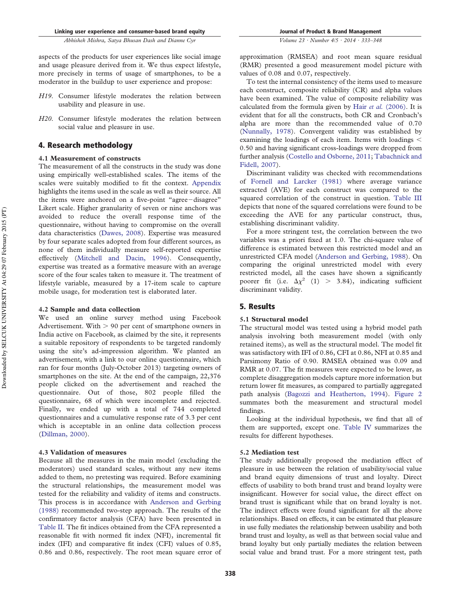aspects of the products for user experiences like social image and usage pleasure derived from it. We thus expect lifestyle, more precisely in terms of usage of smartphones, to be a moderator in the buildup to user experience and propose:

- *H19*. Consumer lifestyle moderates the relation between usability and pleasure in use.
- *H20*. Consumer lifestyle moderates the relation between social value and pleasure in use.

# 4. Research methodology

#### **4.1 Measurement of constructs**

The measurement of all the constructs in the study was done using empirically well-established scales. The items of the scales were suitably modified to fit the context. Appendix highlights the items used in the scale as well as their source. All the items were anchored on a five-point "agree-disagree" Likert scale. Higher granularity of seven or nine anchors was avoided to reduce the overall response time of the questionnaire, without having to compromise on the overall data characteristics (Dawes, 2008). Expertise was measured by four separate scales adopted from four different sources, as none of them individually measure self-reported expertise effectively (Mitchell and Dacin, 1996). Consequently, expertise was treated as a formative measure with an average score of the four scales taken to measure it. The treatment of lifestyle variable, measured by a 17-item scale to capture mobile usage, for moderation test is elaborated later.

#### **4.2 Sample and data collection**

We used an online survey method using Facebook Advertisement. With  $> 90$  per cent of smartphone owners in India active on Facebook, as claimed by the site, it represents a suitable repository of respondents to be targeted randomly using the site's ad-impression algorithm. We planted an advertisement, with a link to our online questionnaire, which ran for four months (July-October 2013) targeting owners of smartphones on the site. At the end of the campaign, 22,376 people clicked on the advertisement and reached the questionnaire. Out of those, 802 people filled the questionnaire, 68 of which were incomplete and rejected. Finally, we ended up with a total of 744 completed questionnaires and a cumulative response rate of 3.3 per cent which is acceptable in an online data collection process (Dillman, 2000).

#### **4.3 Validation of measures**

Because all the measures in the main model (excluding the moderators) used standard scales, without any new items added to them, no pretesting was required. Before examining the structural relationships, the measurement model was tested for the reliability and validity of items and constructs. This process is in accordance with Anderson and Gerbing (1988) recommended two-step approach. The results of the confirmatory factor analysis (CFA) have been presented in Table II. The fit indices obtained from the CFA represented a reasonable fit with normed fit index (NFI), incremental fit index (IFI) and comparative fit index (CFI) values of 0.85, 0.86 and 0.86, respectively. The root mean square error of approximation (RMSEA) and root mean square residual (RMR) presented a good measurement model picture with values of 0.08 and 0.07, respectively.

To test the internal consistency of the items used to measure each construct, composite reliability (CR) and alpha values have been examined. The value of composite reliability was calculated from the formula given by Hair *et al.* (2006). It is evident that for all the constructs, both CR and Cronbach's alpha are more than the recommended value of 0.70 (Nunnally, 1978). Convergent validity was established by examining the loadings of each item. Items with loadings 0.50 and having significant cross-loadings were dropped from further analysis (Costello and Osborne, 2011; Tabachnick and Fidell, 2007).

Discriminant validity was checked with recommendations of Fornell and Larcker (1981) where average variance extracted (AVE) for each construct was compared to the squared correlation of the construct in question. Table III depicts that none of the squared correlations were found to be exceeding the AVE for any particular construct, thus, establishing discriminant validity.

For a more stringent test, the correlation between the two variables was a priori fixed at 1.0. The chi-square value of difference is estimated between this restricted model and an unrestricted CFA model (Anderson and Gerbing, 1988). On comparing the original unrestricted model with every restricted model, all the cases have shown a significantly poorer fit (i.e.  $\Delta \chi^2$  (1) > 3.84), indicating sufficient discriminant validity.

# 5. Results

#### **5.1 Structural model**

The structural model was tested using a hybrid model path analysis involving both measurement model (with only retained items), as well as the structural model. The model fit was satisfactory with IFI of 0.86, CFI at 0.86, NFI at 0.85 and Parsimony Ratio of 0.90. RMSEA obtained was 0.09 and RMR at 0.07. The fit measures were expected to be lower, as complete disaggregation models capture more information but return lower fit measures, as compared to partially aggregated path analysis (Bagozzi and Heatherton, 1994). Figure 2 summates both the measurement and structural model findings.

Looking at the individual hypothesis, we find that all of them are supported, except one. Table IV summarizes the results for different hypotheses.

#### **5.2 Mediation test**

The study additionally proposed the mediation effect of pleasure in use between the relation of usability/social value and brand equity dimensions of trust and loyalty. Direct effects of usability to both brand trust and brand loyalty were insignificant. However for social value, the direct effect on brand trust is significant while that on brand loyalty is not. The indirect effects were found significant for all the above relationships. Based on effects, it can be estimated that pleasure in use fully mediates the relationship between usability and both brand trust and loyalty, as well as that between social value and brand loyalty but only partially mediates the relation between social value and brand trust. For a more stringent test, path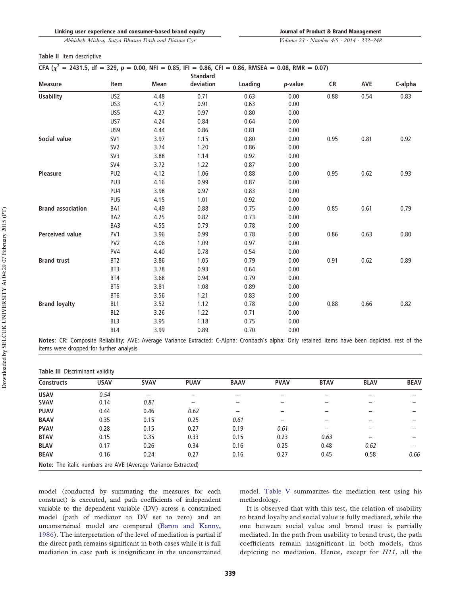*Volume 23 · Number 4/5 · 2014 · 333–348*

#### **Table II** Item descriptive

|  |  | CFA ( $\chi^2$ = 2431.5, df = 329, p = 0.00, NFI = 0.85, IFI = 0.86, CFI = 0.86, RMSEA = 0.08, RMR = 0.07) |  |
|--|--|------------------------------------------------------------------------------------------------------------|--|
|--|--|------------------------------------------------------------------------------------------------------------|--|

|                          |                 |      | <b>Standard</b> |         |         |           |            |         |
|--------------------------|-----------------|------|-----------------|---------|---------|-----------|------------|---------|
| <b>Measure</b>           | Item            | Mean | deviation       | Loading | p-value | <b>CR</b> | <b>AVE</b> | C-alpha |
| <b>Usability</b>         | US <sub>2</sub> | 4.48 | 0.71            | 0.63    | 0.00    | 0.88      | 0.54       | 0.83    |
|                          | US3             | 4.17 | 0.91            | 0.63    | 0.00    |           |            |         |
|                          | US5             | 4.27 | 0.97            | 0.80    | 0.00    |           |            |         |
|                          | US7             | 4.24 | 0.84            | 0.64    | 0.00    |           |            |         |
|                          | US9             | 4.44 | 0.86            | 0.81    | 0.00    |           |            |         |
| Social value             | SV1             | 3.97 | 1.15            | 0.80    | 0.00    | 0.95      | 0.81       | 0.92    |
|                          | SV <sub>2</sub> | 3.74 | 1.20            | 0.86    | 0.00    |           |            |         |
|                          | SV3             | 3.88 | 1.14            | 0.92    | 0.00    |           |            |         |
|                          | SV4             | 3.72 | 1.22            | 0.87    | 0.00    |           |            |         |
| <b>Pleasure</b>          | PU <sub>2</sub> | 4.12 | 1.06            | 0.88    | 0.00    | 0.95      | 0.62       | 0.93    |
|                          | PU3             | 4.16 | 0.99            | 0.87    | 0.00    |           |            |         |
|                          | PU4             | 3.98 | 0.97            | 0.83    | 0.00    |           |            |         |
|                          | PU5             | 4.15 | 1.01            | 0.92    | 0.00    |           |            |         |
| <b>Brand association</b> | BA1             | 4.49 | 0.88            | 0.75    | 0.00    | 0.85      | 0.61       | 0.79    |
|                          | BA <sub>2</sub> | 4.25 | 0.82            | 0.73    | 0.00    |           |            |         |
|                          | BA3             | 4.55 | 0.79            | 0.78    | 0.00    |           |            |         |
| <b>Perceived value</b>   | PV1             | 3.96 | 0.99            | 0.78    | 0.00    | 0.86      | 0.63       | 0.80    |
|                          | PV <sub>2</sub> | 4.06 | 1.09            | 0.97    | 0.00    |           |            |         |
|                          | PV4             | 4.40 | 0.78            | 0.54    | 0.00    |           |            |         |
| <b>Brand trust</b>       | BT <sub>2</sub> | 3.86 | 1.05            | 0.79    | 0.00    | 0.91      | 0.62       | 0.89    |
|                          | BT <sub>3</sub> | 3.78 | 0.93            | 0.64    | 0.00    |           |            |         |
|                          | BT4             | 3.68 | 0.94            | 0.79    | 0.00    |           |            |         |
|                          | BT5             | 3.81 | 1.08            | 0.89    | 0.00    |           |            |         |
|                          | BT6             | 3.56 | 1.21            | 0.83    | 0.00    |           |            |         |
| <b>Brand loyalty</b>     | BL1             | 3.52 | 1.12            | 0.78    | 0.00    | 0.88      | 0.66       | 0.82    |
|                          | BL <sub>2</sub> | 3.26 | 1.22            | 0.71    | 0.00    |           |            |         |
|                          | BL <sub>3</sub> | 3.95 | 1.18            | 0.75    | 0.00    |           |            |         |
|                          | BL4             | 3.99 | 0.89            | 0.70    | 0.00    |           |            |         |

**Notes:** CR: Composite Reliability; AVE: Average Variance Extracted; C-Alpha: Cronbach's alpha; Only retained items have been depicted, rest of the items were dropped for further analysis

| Table III Discriminant validity |                                                               |             |             |             |             |             |             |             |
|---------------------------------|---------------------------------------------------------------|-------------|-------------|-------------|-------------|-------------|-------------|-------------|
| <b>Constructs</b>               | <b>USAV</b>                                                   | <b>SVAV</b> | <b>PUAV</b> | <b>BAAV</b> | <b>PVAV</b> | <b>BTAV</b> | <b>BLAV</b> | <b>BEAV</b> |
| <b>USAV</b>                     | 0.54                                                          | -           | -           |             |             |             |             |             |
| <b>SVAV</b>                     | 0.14                                                          | 0.81        |             |             |             |             |             |             |
| <b>PUAV</b>                     | 0.44                                                          | 0.46        | 0.62        |             |             |             |             |             |
| <b>BAAV</b>                     | 0.35                                                          | 0.15        | 0.25        | 0.61        |             |             |             |             |
| <b>PVAV</b>                     | 0.28                                                          | 0.15        | 0.27        | 0.19        | 0.61        |             |             |             |
| <b>BTAV</b>                     | 0.15                                                          | 0.35        | 0.33        | 0.15        | 0.23        | 0.63        |             |             |
| <b>BLAV</b>                     | 0.17                                                          | 0.26        | 0.34        | 0.16        | 0.25        | 0.48        | 0.62        |             |
| <b>BEAV</b>                     | 0.16                                                          | 0.24        | 0.27        | 0.16        | 0.27        | 0.45        | 0.58        | 0.66        |
|                                 | Note: The italic numbers are AVE (Average Variance Extracted) |             |             |             |             |             |             |             |

model (conducted by summating the measures for each construct) is executed, and path coefficients of independent variable to the dependent variable (DV) across a constrained model (path of mediator to DV set to zero) and an unconstrained model are compared (Baron and Kenny, 1986). The interpretation of the level of mediation is partial if the direct path remains significant in both cases while it is full mediation in case path is insignificant in the unconstrained

model. Table V summarizes the mediation test using his methodology.

It is observed that with this test, the relation of usability to brand loyalty and social value is fully mediated, while the one between social value and brand trust is partially mediated. In the path from usability to brand trust, the path coefficients remain insignificant in both models, thus depicting no mediation. Hence, except for *H11*, all the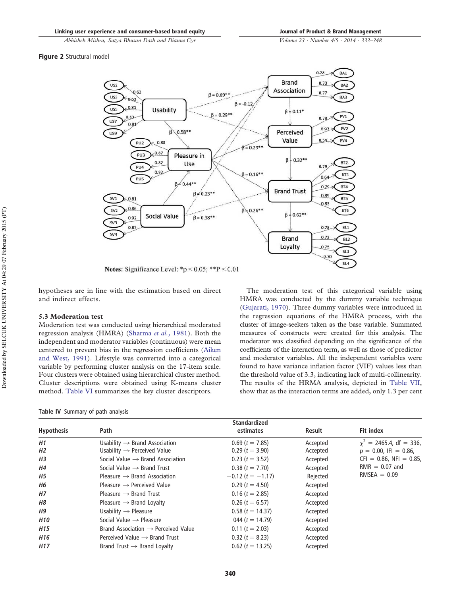*Volume 23 · Number 4/5 · 2014 · 333–348*

Figure 2 Structural model



Notes: Significance Level: \*p < 0.05; \*\*p < 0.01

hypotheses are in line with the estimation based on direct and indirect effects.

# **5.3 Moderation test**

Moderation test was conducted using hierarchical moderated regression analysis (HMRA) (Sharma *et al.*, 1981). Both the independent and moderator variables (continuous) were mean centered to prevent bias in the regression coefficients (Aiken and West, 1991). Lifestyle was converted into a categorical variable by performing cluster analysis on the 17-item scale. Four clusters were obtained using hierarchical cluster method. Cluster descriptions were obtained using K-means cluster method. Table VI summarizes the key cluster descriptors.

**Table IV** Summary of path analysis

The moderation test of this categorical variable using HMRA was conducted by the dummy variable technique (Gujarati, 1970). Three dummy variables were introduced in the regression equations of the HMRA process, with the cluster of image-seekers taken as the base variable. Summated measures of constructs were created for this analysis. The moderator was classified depending on the significance of the coefficients of the interaction term, as well as those of predictor and moderator variables. All the independent variables were found to have variance inflation factor (VIF) values less than the threshold value of 3.3, indicating lack of multi-collinearity. The results of the HRMA analysis, depicted in Table VII, show that as the interaction terms are added, only 1.3 per cent

|                        |                                                                                        | <b>Standardized</b>                   |                      |                                                                  |
|------------------------|----------------------------------------------------------------------------------------|---------------------------------------|----------------------|------------------------------------------------------------------|
| <b>Hypothesis</b>      | Path                                                                                   | estimates                             | Result               | <b>Fit index</b>                                                 |
| H1                     | Usability $\rightarrow$ Brand Association                                              | $0.69$ (t = 7.85)                     | Accepted             | $x^2$ = 2465.4, df = 336,                                        |
| H <sub>2</sub>         | Usability $\rightarrow$ Perceived Value                                                | $0.29$ (t = 3.90)                     | Accepted             | $p = 0.00$ , IFI = 0.86,                                         |
| <b>H3</b><br><b>H4</b> | Social Value $\rightarrow$ Brand Association<br>Social Value $\rightarrow$ Brand Trust | $0.23$ (t = 3.52)<br>$0.38(t = 7.70)$ | Accepted<br>Accepted | $CFI = 0.86$ , NFI = 0.85,<br>$RMR = 0.07$ and<br>$RMSEA = 0.09$ |
| <b>H5</b>              | Pleasure $\rightarrow$ Brand Association                                               | $-0.12$ (t = $-1.17$ )                | Rejected             |                                                                  |
| <b>H6</b>              | Pleasure $\rightarrow$ Perceived Value                                                 | $0.29$ (t = 4.50)                     | Accepted             |                                                                  |
| <b>H7</b>              | Pleasure $\rightarrow$ Brand Trust                                                     | $0.16$ (t = 2.85)                     | Accepted             |                                                                  |
| <b>H8</b>              | Pleasure $\rightarrow$ Brand Loyalty                                                   | $0.26$ ( <i>t</i> = 6.57)             | Accepted             |                                                                  |
| <b>H9</b>              | Usability $\rightarrow$ Pleasure                                                       | $0.58$ (t = 14.37)                    | Accepted             |                                                                  |
| H <sub>10</sub>        | Social Value $\rightarrow$ Pleasure                                                    | 044 ( $t = 14.79$ )                   | Accepted             |                                                                  |
| H <sub>15</sub>        | Brand Association $\rightarrow$ Perceived Value                                        | $0.11$ (t = 2.03)                     | Accepted             |                                                                  |
| H <sub>16</sub>        | Perceived Value $\rightarrow$ Brand Trust                                              | $0.32$ (t = 8.23)                     | Accepted             |                                                                  |
| H <sub>17</sub>        | Brand Trust $\rightarrow$ Brand Loyalty                                                | $0.62$ (t = 13.25)                    | Accepted             |                                                                  |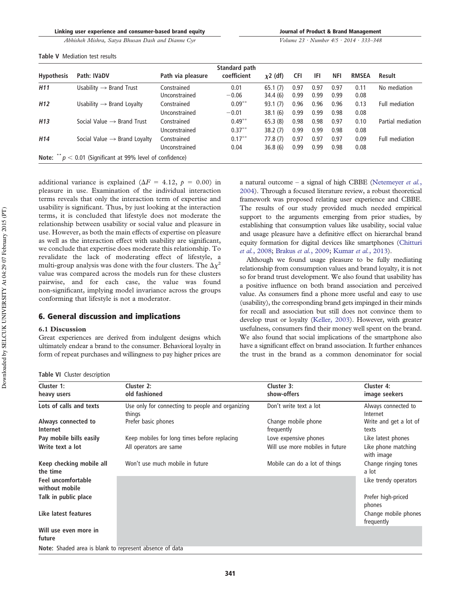|  |  |  |  |  | Journal of Product & Brand Management |
|--|--|--|--|--|---------------------------------------|
|--|--|--|--|--|---------------------------------------|

*Volume 23 · Number 4/5 · 2014 · 333–348*

|  | Table V Mediation test results |  |
|--|--------------------------------|--|
|  |                                |  |

|                   |                                                                       |                              | Standard path          |                    |              |              |              |              |                   |
|-------------------|-----------------------------------------------------------------------|------------------------------|------------------------|--------------------|--------------|--------------|--------------|--------------|-------------------|
| <b>Hypothesis</b> | Path: IVàDV                                                           | Path via pleasure            | coefficient            | $\chi$ 2 (df)      | <b>CFI</b>   | IFI          | NFI          | <b>RMSEA</b> | Result            |
| H <sub>11</sub>   | Usability $\rightarrow$ Brand Trust                                   | Constrained<br>Unconstrained | 0.01<br>$-0.06$        | 65.1(7)<br>34.4(6) | 0.97<br>0.99 | 0.97<br>0.99 | 0.97<br>0.99 | 0.11<br>0.08 | No mediation      |
| H <sub>12</sub>   | Usability $\rightarrow$ Brand Loyalty                                 | Constrained<br>Unconstrained | $0.09***$<br>$-0.01$   | 93.1(7)<br>38.1(6) | 0.96<br>0.99 | 0.96<br>0.99 | 0.96<br>0.98 | 0.13<br>0.08 | Full mediation    |
| H <sub>13</sub>   | Social Value $\rightarrow$ Brand Trust                                | Constrained<br>Unconstrained | $0.49***$<br>$0.37***$ | 65.3(8)<br>38.2(7) | 0.98<br>0.99 | 0.98<br>0.99 | 0.97<br>0.98 | 0.10<br>0.08 | Partial mediation |
| H <sub>14</sub>   | Social Value $\rightarrow$ Brand Loyalty                              | Constrained<br>Unconstrained | $0.17***$<br>0.04      | 77.8(7)<br>36.8(6) | 0.97<br>0.99 | 0.97<br>0.99 | 0.97<br>0.98 | 0.09<br>0.08 | Full mediation    |
|                   | Note: $\sqrt{\ }$ $p$ < 0.01 (Significant at 99% level of confidence) |                              |                        |                    |              |              |              |              |                   |

additional variance is explained ( $\Delta F = 4.12$ ,  $p = 0.00$ ) in pleasure in use. Examination of the individual interaction terms reveals that only the interaction term of expertise and usability is significant. Thus, by just looking at the interaction terms, it is concluded that lifestyle does not moderate the relationship between usability or social value and pleasure in use. However, as both the main effects of expertise on pleasure as well as the interaction effect with usability are significant, we conclude that expertise does moderate this relationship. To revalidate the lack of moderating effect of lifestyle, a multi-group analysis was done with the four clusters. The  $\Delta \chi^2$ value was compared across the models run for these clusters pairwise, and for each case, the value was found non-significant, implying model invariance across the groups conforming that lifestyle is not a moderator.

# 6. General discussion and implications

#### **6.1 Discussion**

Great experiences are derived from indulgent designs which ultimately endear a brand to the consumer. Behavioral loyalty in form of repeat purchases and willingness to pay higher prices are a natural outcome – a signal of high CBBE (Netemeyer *et al.*, 2004). Through a focused literature review, a robust theoretical framework was proposed relating user experience and CBBE. The results of our study provided much needed empirical support to the arguments emerging from prior studies, by establishing that consumption values like usability, social value and usage pleasure have a definitive effect on hierarchal brand equity formation for digital devices like smartphones (Chitturi *et al.*, 2008; Brakus *et al.*, 2009; Kumar *et al.*, 2013).

Although we found usage pleasure to be fully mediating relationship from consumption values and brand loyalty, it is not so for brand trust development. We also found that usability has a positive influence on both brand association and perceived value. As consumers find a phone more useful and easy to use (usability), the corresponding brand gets impinged in their minds for recall and association but still does not convince them to develop trust or loyalty (Keller, 2003). However, with greater usefulness, consumers find their money well spent on the brand. We also found that social implications of the smartphone also have a significant effect on brand association. It further enhances the trust in the brand as a common denominator for social

**Table VI** Cluster description

| Cluster 1:                                              | Cluster 2:                                                 | Cluster 3:                        | Cluster 4:                         |
|---------------------------------------------------------|------------------------------------------------------------|-----------------------------------|------------------------------------|
| heavy users                                             | old fashioned                                              | show-offers                       | image seekers                      |
| Lots of calls and texts                                 | Use only for connecting to people and organizing<br>things | Don't write text a lot            | Always connected to<br>Internet    |
| Always connected to<br>Internet                         | Prefer basic phones                                        | Change mobile phone<br>frequently | Write and get a lot of<br>texts    |
| Pay mobile bills easily                                 | Keep mobiles for long times before replacing               | Love expensive phones             | Like latest phones                 |
| Write text a lot                                        | All operators are same                                     | Will use more mobiles in future   | Like phone matching<br>with image  |
| Keep checking mobile all<br>the time                    | Won't use much mobile in future                            | Mobile can do a lot of things     | Change ringing tones<br>a lot      |
| Feel uncomfortable<br>without mobile                    |                                                            |                                   | Like trendy operators              |
| Talk in public place                                    |                                                            |                                   | Prefer high-priced<br>phones       |
| Like latest features                                    |                                                            |                                   | Change mobile phones<br>frequently |
| Will use even more in<br>future                         |                                                            |                                   |                                    |
| Note: Shaded area is blank to represent absence of data |                                                            |                                   |                                    |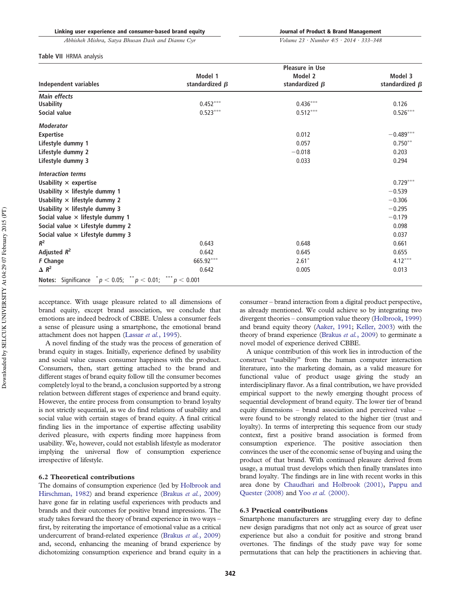*Volume 23 · Number 4/5 · 2014 · 333–348*

#### **Table VII** HRMA analysis

|                                                                  |                                 | <b>Pleasure in Use</b>          |                                 |
|------------------------------------------------------------------|---------------------------------|---------------------------------|---------------------------------|
| <b>Independent variables</b>                                     | Model 1<br>standardized $\beta$ | Model 2<br>standardized $\beta$ | Model 3<br>standardized $\beta$ |
| <b>Main effects</b>                                              |                                 |                                 |                                 |
| <b>Usability</b>                                                 | $0.452***$                      | $0.436***$                      | 0.126                           |
| Social value                                                     | $0.523***$                      | $0.512***$                      | $0.526***$                      |
| <b>Moderator</b>                                                 |                                 |                                 |                                 |
| <b>Expertise</b>                                                 |                                 | 0.012                           | $-0.489***$                     |
| Lifestyle dummy 1                                                |                                 | 0.057                           | $0.750***$                      |
| Lifestyle dummy 2                                                |                                 | $-0.018$                        | 0.203                           |
| Lifestyle dummy 3                                                |                                 | 0.033                           | 0.294                           |
| <b>Interaction terms</b>                                         |                                 |                                 |                                 |
| Usability $\times$ expertise                                     |                                 |                                 | $0.729***$                      |
| Usability $\times$ lifestyle dummy 1                             |                                 |                                 | $-0.539$                        |
| Usability $\times$ lifestyle dummy 2                             |                                 |                                 | $-0.306$                        |
| Usability $\times$ lifestyle dummy 3                             |                                 |                                 | $-0.295$                        |
| Social value $\times$ lifestyle dummy 1                          |                                 |                                 | $-0.179$                        |
| Social value $\times$ Lifestyle dummy 2                          |                                 |                                 | 0.098                           |
| Social value $\times$ Lifestyle dummy 3                          |                                 |                                 | 0.037                           |
| $R^2$                                                            | 0.643                           | 0.648                           | 0.661                           |
| Adjusted $R^2$                                                   | 0.642                           | 0.645                           | 0.655                           |
| F Change                                                         | 665.92***                       | $2.61*$                         | $4.12***$                       |
| $\triangle R^2$                                                  | 0.642                           | 0.005                           | 0.013                           |
| <b>Notes:</b> Significance $p < 0.05$ ; $p < 0.01$ ; $p < 0.001$ |                                 |                                 |                                 |

acceptance. With usage pleasure related to all dimensions of brand equity, except brand association, we conclude that emotions are indeed bedrock of CBBE. Unless a consumer feels a sense of pleasure using a smartphone, the emotional brand attachment does not happen (Lassar *et al.*, 1995).

A novel finding of the study was the process of generation of brand equity in stages. Initially, experience defined by usability and social value causes consumer happiness with the product. Consumers, then, start getting attached to the brand and different stages of brand equity follow till the consumer becomes completely loyal to the brand, a conclusion supported by a strong relation between different stages of experience and brand equity. However, the entire process from consumption to brand loyalty is not strictly sequential, as we do find relations of usability and social value with certain stages of brand equity. A final critical finding lies in the importance of expertise affecting usability derived pleasure, with experts finding more happiness from usability. We, however, could not establish lifestyle as moderator implying the universal flow of consumption experience irrespective of lifestyle.

## **6.2 Theoretical contributions**

The domains of consumption experience (led by Holbrook and Hirschman, 1982) and brand experience (Brakus *et al.*, 2009) have gone far in relating useful experiences with products and brands and their outcomes for positive brand impressions. The study takes forward the theory of brand experience in two ways – first, by reiterating the importance of emotional value as a critical undercurrent of brand-related experience (Brakus *et al.*, 2009) and, second, enhancing the meaning of brand experience by dichotomizing consumption experience and brand equity in a consumer – brand interaction from a digital product perspective, as already mentioned. We could achieve so by integrating two divergent theories – consumption value theory (Holbrook, 1999) and brand equity theory (Aaker, 1991; Keller, 2003) with the theory of brand experience (Brakus *et al.*, 2009) to germinate a novel model of experience derived CBBE.

A unique contribution of this work lies in introduction of the construct "usability" from the human computer interaction literature, into the marketing domain, as a valid measure for functional value of product usage giving the study an interdisciplinary flavor. As a final contribution, we have provided empirical support to the newly emerging thought process of sequential development of brand equity. The lower tier of brand equity dimensions – brand association and perceived value – were found to be strongly related to the higher tier (trust and loyalty). In terms of interpreting this sequence from our study context, first a positive brand association is formed from consumption experience. The positive association then convinces the user of the economic sense of buying and using the product of that brand. With continued pleasure derived from usage, a mutual trust develops which then finally translates into brand loyalty. The findings are in line with recent works in this area done by Chaudhari and Holbrook (2001), Pappu and Quester (2008) and Yoo *et al.* (2000).

#### **6.3 Practical contributions**

Smartphone manufacturers are struggling every day to define new design paradigms that not only act as source of great user experience but also a conduit for positive and strong brand overtones. The findings of the study pave way for some permutations that can help the practitioners in achieving that.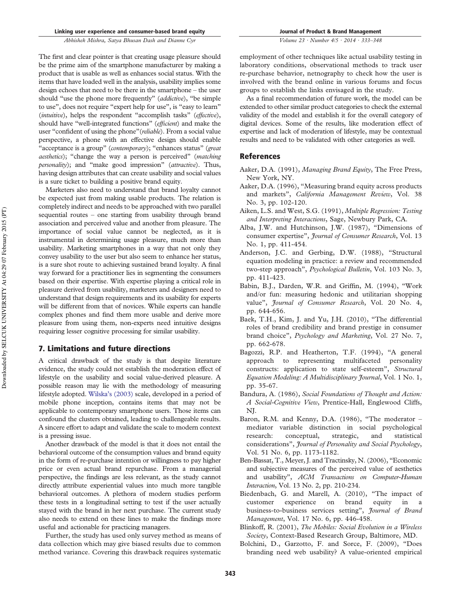*Volume 23 · Number 4/5 · 2014 · 333–348*

The first and clear pointer is that creating usage pleasure should be the prime aim of the smartphone manufacturer by making a product that is usable as well as enhances social status. With the items that have loaded well in the analysis, usability implies some design echoes that need to be there in the smartphone – the user should "use the phone more frequently" (*addictive*), "be simple to use", does not require "expert help for use", is "easy to learn" (*intuitive*), helps the respondent "accomplish tasks" (*effective*), should have "well-integrated functions" (*efficient*) and make the user "confident of using the phone"(*reliable*). From a social value perspective, a phone with an effective design should enable "acceptance is a group" (*contemporary*); "enhances status" (*great aesthetics*); "change the way a person is perceived" (*matching personality*); and "make good impression" (*attractive*). Thus, having design attributes that can create usability and social values is a sure ticket to building a positive brand equity.

Marketers also need to understand that brand loyalty cannot be expected just from making usable products. The relation is completely indirect and needs to be approached with two parallel sequential routes – one starting from usability through brand association and perceived value and another from pleasure. The importance of social value cannot be neglected, as it is instrumental in determining usage pleasure, much more than usability. Marketing smartphones in a way that not only they convey usability to the user but also seem to enhance her status, is a sure shot route to achieving sustained brand loyalty. A final way forward for a practitioner lies in segmenting the consumers based on their expertise. With expertise playing a critical role in pleasure derived from usability, marketers and designers need to understand that design requirements and its usability for experts will be different from that of novices. While experts can handle complex phones and find them more usable and derive more pleasure from using them, non-experts need intuitive designs requiring lesser cognitive processing for similar usability.

# 7. Limitations and future directions

A critical drawback of the study is that despite literature evidence, the study could not establish the moderation effect of lifestyle on the usability and social value-derived pleasure. A possible reason may lie with the methodology of measuring lifestyle adopted. Wilska's (2003) scale, developed in a period of mobile phone inception, contains items that may not be applicable to contemporary smartphone users. Those items can confound the clusters obtained, leading to challengeable results. A sincere effort to adapt and validate the scale to modern context is a pressing issue.

Another drawback of the model is that it does not entail the behavioral outcome of the consumption values and brand equity in the form of re-purchase intention or willingness to pay higher price or even actual brand repurchase. From a managerial perspective, the findings are less relevant, as the study cannot directly attribute experiential values into much more tangible behavioral outcomes. A plethora of modern studies perform these tests in a longitudinal setting to test if the user actually stayed with the brand in her next purchase. The current study also needs to extend on these lines to make the findings more useful and actionable for practicing managers.

Further, the study has used only survey method as means of data collection which may give biased results due to common method variance. Covering this drawback requires systematic

employment of other techniques like actual usability testing in laboratory conditions, observational methods to track user re-purchase behavior, netnography to check how the user is involved with the brand online in various forums and focus groups to establish the links envisaged in the study.

As a final recommendation of future work, the model can be extended to other similar product categories to check the external validity of the model and establish it for the overall category of digital devices. Some of the results, like moderation effect of expertise and lack of moderation of lifestyle, may be contextual results and need to be validated with other categories as well.

# References

- Aaker, D.A. (1991), *Managing Brand Equity*, The Free Press, New York, NY.
- Aaker, D.A. (1996), "Measuring brand equity across products and markets", *California Management Review*, Vol. 38 No. 3, pp. 102-120.
- Aiken, L.S. and West, S.G. (1991), *Multiple Regression: Testing and Interpreting Interactions*, Sage, Newbury Park, CA.
- Alba, J.W. and Hutchinson, J.W. (1987), "Dimensions of consumer expertise", *Journal of Consumer Research*, Vol. 13 No. 1, pp. 411-454.
- Anderson, J.C. and Gerbing, D.W. (1988), "Structural equation modeling in practice: a review and recommended two-step approach", *Psychological Bulletin*, Vol. 103 No. 3, pp. 411-423.
- Babin, B.J., Darden, W.R. and Griffin, M. (1994), "Work and/or fun: measuring hedonic and utilitarian shopping value", *Journal of Consumer Research*, Vol. 20 No. 4, pp. 644-656.
- Baek, T.H., Kim, J. and Yu, J.H. (2010), "The differential roles of brand credibility and brand prestige in consumer brand choice", *Psychology and Marketing*, Vol. 27 No. 7, pp. 662-678.
- Bagozzi, R.P. and Heatherton, T.F. (1994), "A general approach to representing multifaceted personality constructs: application to state self-esteem", *Structural Equation Modeling: A Multidisciplinary Journal*, Vol. 1 No. 1, pp. 35-67.
- Bandura, A. (1986), *Social Foundations of Thought and Action: A Social-Cognitive View*, Prentice-Hall, Englewood Cliffs, NJ.
- Baron, R.M. and Kenny, D.A. (1986), "The moderator mediator variable distinction in social psychological research: conceptual, strategic, and statistical considerations", *Journal of Personality and Social Psychology*, Vol. 51 No. 6, pp. 1173-1182.
- Ben-Bassat, T., Meyer, J. and Tractinsky, N. (2006), "Economic and subjective measures of the perceived value of aesthetics and usability", *ACM Transactions on Computer-Human Interaction*, Vol. 13 No. 2, pp. 210-234.
- Biedenbach, G. and Marell, A. (2010), "The impact of customer experience on brand equity in a business-to-business services setting", *Journal of Brand Management*, Vol. 17 No. 6, pp. 446-458.
- Blinkoff, R. (2001), *The Mobiles: Social Evolution in a Wireless Society*, Context-Based Research Group, Baltimore, MD.
- Bolchini, D., Garzotto, F. and Sorce, F. (2009), "Does branding need web usability? A value-oriented empirical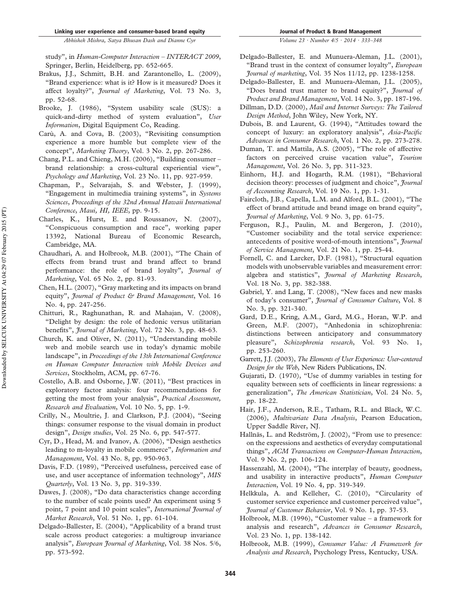study", in *Human-Computer Interaction – INTERACT 2009*, Springer, Berlin, Heidelberg, pp. 652-665.

- Brakus, J.J., Schmitt, B.H. and Zarantonello, L. (2009), "Brand experience: what is it? How is it measured? Does it affect loyalty?", *Journal of Marketing*, Vol. 73 No. 3, pp. 52-68.
- Brooke, J. (1986), "System usability scale (SUS): a quick-and-dirty method of system evaluation", *User Information*, Digital Equipment Co, Reading.
- Carù, A. and Cova, B. (2003), "Revisiting consumption experience a more humble but complete view of the concept", *Marketing Theory*, Vol. 3 No. 2, pp. 267-286.
- Chang, P.L. and Chieng, M.H. (2006), "Building consumer brand relationship: a cross-cultural experiential view", *Psychology and Marketing*, Vol. 23 No. 11, pp. 927-959.
- Chapman, P., Selvarajah, S. and Webster, J. (1999), "Engagement in multimedia training systems", in *Systems Sciences*, *Proceedings of the 32nd Annual Hawaii International Conference*, *Maui, HI, IEEE*, pp. 9-15.
- Charles, K., Hurst, E. and Roussanov, N. (2007), "Conspicuous consumption and race", working paper 13392, National Bureau of Economic Research, Cambridge, MA.
- Chaudhari, A. and Holbrook, M.B. (2001), "The Chain of effects from brand trust and brand affect to brand performance: the role of brand loyalty", *Journal of Marketing*, Vol. 65 No. 2, pp. 81-93.
- Chen, H.L. (2007), "Gray marketing and its impacts on brand equity", *Journal of Product & Brand Management*, Vol. 16 No. 4, pp. 247-256.
- Chitturi, R., Raghunathan, R. and Mahajan, V. (2008), "Delight by design: the role of hedonic versus utilitarian benefits", *Journal of Marketing*, Vol. 72 No. 3, pp. 48-63.
- Church, K. and Oliver, N. (2011), "Understanding mobile web and mobile search use in today's dynamic mobile landscape", in *Proceedings of the 13th International Conference on Human Computer Interaction with Mobile Devices and Services*, Stockholm, ACM, pp. 67-76.
- Costello, A.B. and Osborne, J.W. (2011), "Best practices in exploratory factor analysis: four recommendations for getting the most from your analysis", *Practical Assessment, Research and Evaluation*, Vol. 10 No. 5, pp. 1-9.
- Crilly, N., Moultrie, J. and Clarkson, P.J. (2004), "Seeing things: consumer response to the visual domain in product design", *Design studies*, Vol. 25 No. 6, pp. 547-577.
- Cyr, D., Head, M. and Ivanov, A. (2006), "Design aesthetics leading to m-loyalty in mobile commerce", *Information and Management*, Vol. 43 No. 8, pp. 950-963.
- Davis, F.D. (1989), "Perceived usefulness, perceived ease of use, and user acceptance of information technology", *MIS Quarterly*, Vol. 13 No. 3, pp. 319-339.
- Dawes, J. (2008), "Do data characteristics change according to the number of scale points used? An experiment using 5 point, 7 point and 10 point scales", *International Journal of Market Research*, Vol. 51 No. 1, pp. 61-104.
- Delgado-Ballester, E. (2004), "Applicability of a brand trust scale across product categories: a multigroup invariance analysis", *European Journal of Marketing*, Vol. 38 Nos. 5/6, pp. 573-592.
- *Volume 23 · Number 4/5 · 2014 · 333–348*
- Delgado-Ballester, E. and Munuera-Aleman, J.L. (2001), "Brand trust in the context of consumer loyalty", *European Journal of marketing*, Vol. 35 Nos 11/12, pp. 1238-1258.
- Delgado-Ballester, E. and Munuera-Aleman, J.L. (2005), "Does brand trust matter to brand equity?", *Journal of Product and Brand Management*, Vol. 14 No. 3, pp. 187-196.
- Dillman, D.D. (2000), *Mail and Internet Surveys: The Tailored Design Method*, John Wiley, New York, NY.
- Dubois, B. and Laurent, G. (1994), "Attitudes toward the concept of luxury: an exploratory analysis", *Asia-Pacific Advances in Consumer Research*, Vol. 1 No. 2, pp. 273-278.
- Duman, T. and Mattila, A.S. (2005), "The role of affective factors on perceived cruise vacation value", *Tourism Management*, Vol. 26 No. 3, pp. 311-323.
- Einhorn, H.J. and Hogarth, R.M. (1981), "Behavioral decision theory: processes of judgment and choice", *Journal of Accounting Research*, Vol. 19 No. 1, pp. 1-31.
- Faircloth, J.B., Capella, L.M. and Alford, B.L. (2001), "The effect of brand attitude and brand image on brand equity", *Journal of Marketing*, Vol. 9 No. 3, pp. 61-75.
- Ferguson, R.J., Paulin, M. and Bergeron, J. (2010), "Customer sociability and the total service experience: antecedents of positive word-of-mouth intentions", *Journal of Service Management*, Vol. 21 No. 1, pp. 25-44.
- Fornell, C. and Larcker, D.F. (1981), "Structural equation models with unobservable variables and measurement error: algebra and statistics", *Journal of Marketing Research*, Vol. 18 No. 3, pp. 382-388.
- Gabriel, Y. and Lang, T. (2008), "New faces and new masks of today's consumer", *Journal of Consumer Culture*, Vol. 8 No. 3, pp. 321-340.
- Gard, D.E., Kring, A.M., Gard, M.G., Horan, W.P. and Green, M.F. (2007), "Anhedonia in schizophrenia: distinctions between anticipatory and consummatory pleasure", *Schizophrenia research*, Vol. 93 No. 1, pp. 253-260.
- Garrett, J.J. (2003), *The Elements of User Experience: User-centered Design for the Web*, New Riders Publications, IN.
- Gujarati, D. (1970), "Use of dummy variables in testing for equality between sets of coefficients in linear regressions: a generalization", *The American Statistician*, Vol. 24 No. 5, pp. 18-22.
- Hair, J.F., Anderson, R.E., Tatham, R.L. and Black, W.C. (2006), *Multivariate Data Analysis*, Pearson Education, Upper Saddle River, NJ.
- Hallnäs, L. and Redström, J. (2002), "From use to presence: on the expressions and aesthetics of everyday computational things", *ACM Transactions on Computer-Human Interaction*, Vol. 9 No. 2, pp. 106-124.
- Hassenzahl, M. (2004), "The interplay of beauty, goodness, and usability in interactive products", *Human Computer Interaction*, Vol. 19 No. 4, pp. 319-349.
- Helkkula, A. and Kelleher, C. (2010), "Circularity of customer service experience and customer perceived value", *Journal of Customer Behavior*, Vol. 9 No. 1, pp. 37-53.
- Holbrook, M.B. (1996), "Customer value a framework for analysis and research", *Advances in Consumer Research*, Vol. 23 No. 1, pp. 138-142.
- Holbrook, M.B. (1999), *Consumer Value: A Framework for Analysis and Research*, Psychology Press, Kentucky, USA.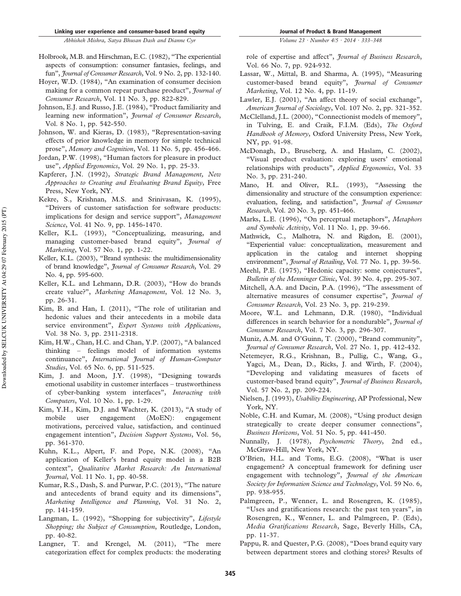- Holbrook, M.B. and Hirschman, E.C. (1982), "The experiential aspects of consumption: consumer fantasies, feelings, and fun", *Journal of Consumer Research*, Vol. 9 No. 2, pp. 132-140.
- Hoyer, W.D. (1984), "An examination of consumer decision making for a common repeat purchase product", *Journal of Consumer Research*, Vol. 11 No. 3, pp. 822-829.
- Johnson, E.J. and Russo, J.E. (1984), "Product familiarity and learning new information", *Journal of Consumer Research*, Vol. 8 No. 1, pp. 542-550.
- Johnson, W. and Kieras, D. (1983), "Representation-saving effects of prior knowledge in memory for simple technical prose", *Memory and Cognition*, Vol. 11 No. 5, pp. 456-466.
- Jordan, P.W. (1998), "Human factors for pleasure in product use", *Applied Ergonomics*, Vol. 29 No. 1, pp. 25-33.
- Kapferer, J.N. (1992), *Strategic Brand Management, New Approaches to Creating and Evaluating Brand Equity*, Free Press, New York, NY.
- Kekre, S., Krishnan, M.S. and Srinivasan, K. (1995), "Drivers of customer satisfaction for software products: implications for design and service support", *Management Science*, Vol. 41 No. 9, pp. 1456-1470.
- Keller, K.L. (1993), "Conceptualizing, measuring, and managing customer-based brand equity", *Journal of Marketing*, Vol. 57 No. 1, pp. 1-22.
- Keller, K.L. (2003), "Brand synthesis: the multidimensionality of brand knowledge", *Journal of Consumer Research*, Vol. 29 No. 4, pp. 595-600.
- Keller, K.L. and Lehmann, D.R. (2003), "How do brands create value?", *Marketing Management*, Vol. 12 No. 3, pp. 26-31.
- Kim, B. and Han, I. (2011), "The role of utilitarian and hedonic values and their antecedents in a mobile data service environment", *Expert Systems with Applications*, Vol. 38 No. 3, pp. 2311-2318.
- Kim, H.W., Chan, H.C. and Chan, Y.P. (2007), "A balanced thinking – feelings model of information systems continuance", *International Journal of Human-Computer Studies*, Vol. 65 No. 6, pp. 511-525.
- Kim, J. and Moon, J.Y. (1998), "Designing towards emotional usability in customer interfaces – trustworthiness of cyber-banking system interfaces", *Interacting with Computers*, Vol. 10 No. 1, pp. 1-29.
- Kim, Y.H., Kim, D.J. and Wachter, K. (2013), "A study of mobile user engagement (MoEN): engagement motivations, perceived value, satisfaction, and continued engagement intention", *Decision Support Systems*, Vol. 56, pp. 361-370.
- Kuhn, K.L., Alpert, F. and Pope, N.K. (2008), "An application of Keller's brand equity model in a B2B context", *Qualitative Market Research: An International Journal*, Vol. 11 No. 1, pp. 40-58.
- Kumar, R.S., Dash, S. and Purwar, P.C. (2013), "The nature and antecedents of brand equity and its dimensions", *Marketing Intelligence and Planning*, Vol. 31 No. 2, pp. 141-159.
- Langman, L. (1992), "Shopping for subjectivity", *Lifestyle Shopping; the Subject of Consumption*, Routledge, London, pp. 40-82.
- Langner, T. and Krengel, M. (2011), "The mere categorization effect for complex products: the moderating

role of expertise and affect", *Journal of Business Research*, Vol. 66 No. 7, pp. 924-932.

- Lassar, W., Mittal, B. and Sharma, A. (1995), "Measuring customer-based brand equity", *Journal of Consumer Marketing*, Vol. 12 No. 4, pp. 11-19.
- Lawler, E.J. (2001), "An affect theory of social exchange", *American Journal of Sociology*, Vol. 107 No. 2, pp. 321-352.
- McClelland, J.L. (2000), "Connectionist models of memory", in Tulving, E. and Craik, F.I.M. (Eds), *The Oxford Handbook of Memory*, Oxford University Press, New York, NY, pp. 91-98.
- McDonagh, D., Bruseberg, A. and Haslam, C. (2002), "Visual product evaluation: exploring users' emotional relationships with products", *Applied Ergonomics*, Vol. 33 No. 3, pp. 231-240.
- Mano, H. and Oliver, R.L. (1993), "Assessing the dimensionality and structure of the consumption experience: evaluation, feeling, and satisfaction", *Journal of Consumer Research*, Vol. 20 No. 3, pp. 451-466.
- Marks, L.E. (1996), "On perceptual metaphors", *Metaphors and Symbolic Activity*, Vol. 11 No. 1, pp. 39-66.
- Mathwick, C., Malhotra, N. and Rigdon, E. (2001), "Experiential value: conceptualization, measurement and application in the catalog and internet shopping environment", *Journal of Retailing*, Vol. 77 No. 1, pp. 39-56.
- Meehl, P.E. (1975), "Hedonic capacity: some conjectures", *Bulletin of the Menninger Clinic*, Vol. 39 No. 4, pp. 295-307.
- Mitchell, A.A. and Dacin, P.A. (1996), "The assessment of alternative measures of consumer expertise", *Journal of Consumer Research*, Vol. 23 No. 3, pp. 219-239.
- Moore, W.L. and Lehmann, D.R. (1980), "Individual differences in search behavior for a nondurable", *Journal of Consumer Research*, Vol. 7 No. 3, pp. 296-307.
- Muniz, A.M. and O'Guinn, T. (2000), "Brand community", *Journal of Consumer Research*, Vol. 27 No. 1, pp. 412-432.
- Netemeyer, R.G., Krishnan, B., Pullig, C., Wang, G., Yagci, M., Dean, D., Ricks, J. and Wirth, F. (2004), "Developing and validating measures of facets of customer-based brand equity", *Journal of Business Research*, Vol. 57 No. 2, pp. 209-224.
- Nielsen, J. (1993), *Usability Engineering*, AP Professional, New York, NY.
- Noble, C.H. and Kumar, M. (2008), "Using product design strategically to create deeper consumer connections", *Business Horizons*, Vol. 51 No. 5, pp. 441-450.
- Nunnally, J. (1978), *Psychometric Theory*, 2nd ed., McGraw-Hill, New York, NY.
- O'Brien, H.L. and Toms, E.G. (2008), "What is user engagement? A conceptual framework for defining user engagement with technology", *Journal of the American Society for Information Science and Technology*, Vol. 59 No. 6, pp. 938-955.
- Palmgreen, P., Wenner, L. and Rosengren, K. (1985), "Uses and gratifications research: the past ten years", in Rosengren, K., Wenner, L. and Palmgreen, P. (Eds), *Media Gratifications Research*, Sage, Beverly Hills, CA, pp. 11-37.
- Pappu, R. and Quester, P.G. (2008), "Does brand equity vary between department stores and clothing stores? Results of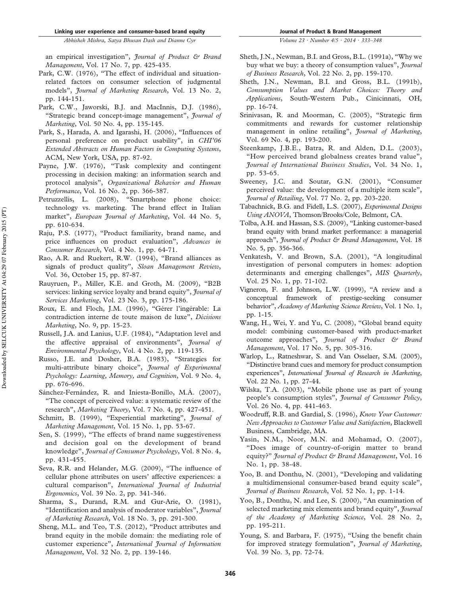an empirical investigation", *Journal of Product & Brand Management*, Vol. 17 No. 7, pp. 425-435.

- Park, C.W. (1976), "The effect of individual and situationrelated factors on consumer selection of judgmental models", *Journal of Marketing Research*, Vol. 13 No. 2, pp. 144-151.
- Park, C.W., Jaworski, B.J. and MacInnis, D.J. (1986), "Strategic brand concept-image management", *Journal of Marketing*, Vol. 50 No. 4, pp. 135-145.
- Park, S., Harada, A. and Igarashi, H. (2006), "Influences of personal preference on product usability", in *CHI'06 Extended Abstracts on Human Factors in Computing Systems*, ACM, New York, USA, pp. 87-92.
- Payne, J.W. (1976), "Task complexity and contingent processing in decision making: an information search and protocol analysis", *Organizational Behavior and Human Performance*, Vol. 16 No. 2, pp. 366-387.
- Petruzzellis, L. (2008), "Smartphone phone choice: technology vs. marketing. The brand effect in Italian market", *European Journal of Marketing*, Vol. 44 No. 5, pp. 610-634.
- Raju, P.S. (1977), "Product familiarity, brand name, and price influences on product evaluation", *Advances in Consumer Research*, Vol. 4 No. 1, pp. 64-71.
- Rao, A.R. and Ruekert, R.W. (1994), "Brand alliances as signals of product quality", *Sloan Management Review*, Vol. 36, October 15, pp. 87-87.
- Rauyruen, P., Miller, K.E. and Groth, M. (2009), "B2B services: linking service loyalty and brand equity", *Journal of Services Marketing*, Vol. 23 No. 3, pp. 175-186.
- Roux, E. and Floch, J.M. (1996), "Gérer l'ingérable: La contradiction interne de toute maison de luxe", *Décisions Marketing*, No. 9, pp. 15-23.
- Russell, J.A. and Lanius, U.F. (1984), "Adaptation level and the affective appraisal of environments", *Journal of Environmental Psychology*, Vol. 4 No. 2, pp. 119-135.
- Russo, J.E. and Dosher, B.A. (1983), "Strategies for multi-attribute binary choice", *Journal of Experimental Psychology: Learning, Memory, and Cognition*, Vol. 9 No. 4, pp. 676-696.
- Sánchez-Fernández, R. and Iniesta-Bonillo, M.Á. (2007), "The concept of perceived value: a systematic review of the research", *Marketing Theory*, Vol. 7 No. 4, pp. 427-451.
- Schmitt, B. (1999), "Experiential marketing", *Journal of Marketing Management*, Vol. 15 No. 1, pp. 53-67.
- Sen, S. (1999), "The effects of brand name suggestiveness and decision goal on the development of brand knowledge", *Journal of Consumer Psychology*, Vol. 8 No. 4, pp. 431-455.
- Seva, R.R. and Helander, M.G. (2009), "The influence of cellular phone attributes on users' affective experiences: a cultural comparison", *International Journal of Industrial Ergonomics*, Vol. 39 No. 2, pp. 341-346.
- Sharma, S., Durand, R.M. and Gur-Arie, O. (1981), "Identification and analysis of moderator variables", *Journal of Marketing Research*, Vol. 18 No. 3, pp. 291-300.
- Sheng, M.L. and Teo, T.S. (2012), "Product attributes and brand equity in the mobile domain: the mediating role of customer experience", *International Journal of Information Management*, Vol. 32 No. 2, pp. 139-146.
- *Volume 23 · Number 4/5 · 2014 · 333–348*
- Sheth, J.N., Newman, B.I. and Gross, B.L. (1991a), "Why we buy what we buy: a theory of consumption values", *Journal of Business Research*, Vol. 22 No. 2, pp. 159-170.
- Sheth, J.N., Newman, B.I. and Gross, B.L. (1991b), *Consumption Values and Market Choices: Theory and Applications*, South-Western Pub., Cinicinnati, OH, pp. 16-74.
- Srinivasan, R. and Moorman, C. (2005), "Strategic firm commitments and rewards for customer relationship management in online retailing", *Journal of Marketing*, Vol. 69 No. 4, pp. 193-200.
- Steenkamp, J.B.E., Batra, R. and Alden, D.L. (2003), "How perceived brand globalness creates brand value", *Journal of International Business Studies*, Vol. 34 No. 1, pp. 53-65.
- Sweeney, J.C. and Soutar, G.N. (2001), "Consumer perceived value: the development of a multiple item scale", *Journal of Retailing*, Vol. 77 No. 2, pp. 203-220.
- Tabachnick, B.G. and Fidell, L.S. (2007), *Experimental Designs Using ANOVA*, Thomson/Brooks/Cole, Belmont, CA.
- Tolba, A.H. and Hassan, S.S. (2009), "Linking customer-based brand equity with brand market performance: a managerial approach", *Journal of Product & Brand Management*, Vol. 18 No. 5, pp. 356-366.
- Venkatesh, V. and Brown, S.A. (2001), "A longitudinal investigation of personal computers in homes: adoption determinants and emerging challenges", *MIS Quarterly*, Vol. 25 No. 1, pp. 71-102.
- Vigneron, F. and Johnson, L.W. (1999), "A review and a conceptual framework of prestige-seeking consumer behavior", *Academy of Marketing Science Review*, Vol. 1 No. 1, pp. 1-15.
- Wang, H., Wei, Y. and Yu, C. (2008), "Global brand equity model: combining customer-based with product-market outcome approaches", *Journal of Product & Brand Management*, Vol. 17 No. 5, pp. 305-316.
- Warlop, L., Ratneshwar, S. and Van Osselaer, S.M. (2005), "Distinctive brand cues and memory for product consumption experiences", *International Journal of Research in Marketing*, Vol. 22 No. 1, pp. 27-44.
- Wilska, T.A. (2003), "Mobile phone use as part of young people's consumption styles", *Journal of Consumer Policy*, Vol. 26 No. 4, pp. 441-463.
- Woodruff, R.B. and Gardial, S. (1996), *Know Your Customer: New Approaches to Customer Value and Satisfaction*, Blackwell Business, Cambridge, MA.
- Yasin, N.M., Noor, M.N. and Mohamad, O. (2007), "Does image of country-of-origin matter to brand equity?" *Journal of Product & Brand Management*, Vol. 16 No. 1, pp. 38-48.
- Yoo, B. and Donthu, N. (2001), "Developing and validating a multidimensional consumer-based brand equity scale", *Journal of Business Research*, Vol. 52 No. 1, pp. 1-14.
- Yoo, B., Donthu, N. and Lee, S. (2000), "An examination of selected marketing mix elements and brand equity", *Journal of the Academy of Marketing Science*, Vol. 28 No. 2, pp. 195-211.
- Young, S. and Barbara, F. (1975), "Using the benefit chain for improved strategy formulation", *Journal of Marketing*, Vol. 39 No. 3, pp. 72-74.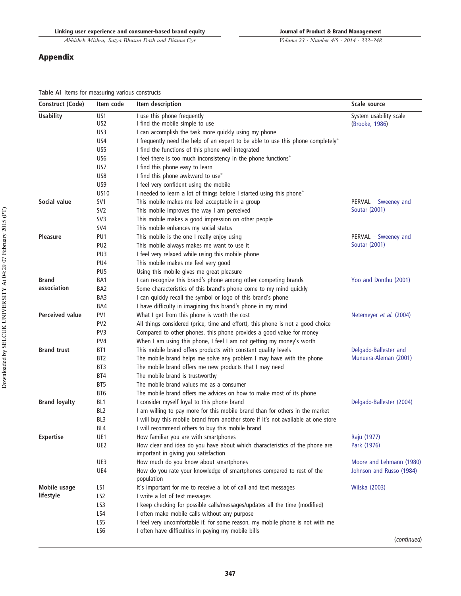# Appendix

*Volume 23 · Number 4/5 · 2014 · 333–348*

**Table AI** Items for measuring various constructs

| Construct (Code)       | Item code       | Item description                                                                                                    | Scale source             |
|------------------------|-----------------|---------------------------------------------------------------------------------------------------------------------|--------------------------|
| <b>Usability</b>       | US1             | I use this phone frequently                                                                                         | System usability scale   |
|                        | US <sub>2</sub> | I find the mobile simple to use                                                                                     | (Brooke, 1986)           |
|                        | US3             | I can accomplish the task more quickly using my phone                                                               |                          |
|                        | US4             | I frequently need the help of an expert to be able to use this phone completely*                                    |                          |
|                        | US5             | I find the functions of this phone well integrated                                                                  |                          |
|                        | US6             | I feel there is too much inconsistency in the phone functions*                                                      |                          |
|                        | US7             | I find this phone easy to learn                                                                                     |                          |
|                        | US8             | I find this phone awkward to use*                                                                                   |                          |
|                        | US9             | I feel very confident using the mobile                                                                              |                          |
|                        | <b>US10</b>     | I needed to learn a lot of things before I started using this phone*                                                |                          |
| Social value           | SV1             | This mobile makes me feel acceptable in a group                                                                     | PERVAL - Sweeney and     |
|                        | SV <sub>2</sub> | This mobile improves the way I am perceived                                                                         | Soutar (2001)            |
|                        | SV3             | This mobile makes a good impression on other people                                                                 |                          |
|                        | SV4             | This mobile enhances my social status                                                                               |                          |
| <b>Pleasure</b>        | PU1             | This mobile is the one I really enjoy using                                                                         | PERVAL - Sweeney and     |
|                        | PU <sub>2</sub> | This mobile always makes me want to use it                                                                          | Soutar (2001)            |
|                        | PU3             | I feel very relaxed while using this mobile phone                                                                   |                          |
|                        | PU4             | This mobile makes me feel very good                                                                                 |                          |
|                        | PU <sub>5</sub> | Using this mobile gives me great pleasure                                                                           |                          |
| <b>Brand</b>           | BA1             | I can recognize this brand's phone among other competing brands                                                     | Yoo and Donthu (2001)    |
| association            | BA2             | Some characteristics of this brand's phone come to my mind quickly                                                  |                          |
|                        | BA3             | I can quickly recall the symbol or logo of this brand's phone                                                       |                          |
|                        | BA4             | I have difficulty in imagining this brand's phone in my mind                                                        |                          |
| <b>Perceived value</b> | PV1             | What I get from this phone is worth the cost                                                                        | Netemeyer et al. (2004)  |
|                        | PV <sub>2</sub> | All things considered (price, time and effort), this phone is not a good choice                                     |                          |
|                        | PV <sub>3</sub> | Compared to other phones, this phone provides a good value for money                                                |                          |
|                        | PV4             | When I am using this phone, I feel I am not getting my money's worth                                                |                          |
| <b>Brand trust</b>     | BT1             | This mobile brand offers products with constant quality levels                                                      | Delgado-Ballester and    |
|                        | BT2             | The mobile brand helps me solve any problem I may have with the phone                                               | Munuera-Aleman (2001)    |
|                        | BT3             | The mobile brand offers me new products that I may need                                                             |                          |
|                        | BT4             | The mobile brand is trustworthy                                                                                     |                          |
|                        | BT5             | The mobile brand values me as a consumer                                                                            |                          |
|                        | BT6             | The mobile brand offers me advices on how to make most of its phone                                                 |                          |
| <b>Brand loyalty</b>   | BL1             | I consider myself loyal to this phone brand                                                                         | Delgado-Ballester (2004) |
|                        | BL2             | I am willing to pay more for this mobile brand than for others in the market                                        |                          |
|                        | BL3             | I will buy this mobile brand from another store if it's not available at one store                                  |                          |
|                        | BL4             | I will recommend others to buy this mobile brand                                                                    |                          |
| <b>Expertise</b>       | UE1             | How familiar you are with smartphones                                                                               | Raju (1977)              |
|                        | UE2             | How clear and idea do you have about which characteristics of the phone are<br>important in giving you satisfaction | Park (1976)              |
|                        | UE3             | How much do you know about smartphones                                                                              | Moore and Lehmann (1980) |
|                        | UE4             | How do you rate your knowledge of smartphones compared to rest of the<br>population                                 | Johnson and Russo (1984) |
| Mobile usage           | LS1             | It's important for me to receive a lot of call and text messages                                                    | Wilska (2003)            |
| lifestyle              | LS <sub>2</sub> | I write a lot of text messages                                                                                      |                          |
|                        | LS3             | I keep checking for possible calls/messages/updates all the time (modified)                                         |                          |
|                        | LS4             | I often make mobile calls without any purpose                                                                       |                          |
|                        | LS5             | I feel very uncomfortable if, for some reason, my mobile phone is not with me                                       |                          |
|                        | LS6             | I often have difficulties in paying my mobile bills                                                                 |                          |
|                        |                 |                                                                                                                     | (continued)              |